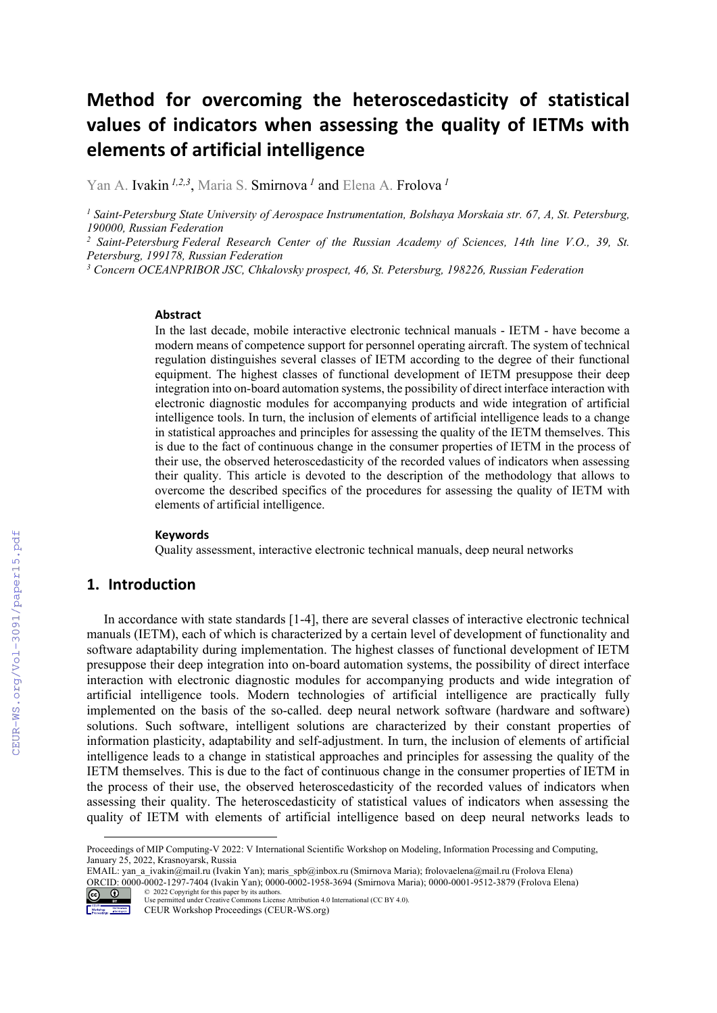# **Method for overcoming the heteroscedasticity of statistical values of indicators when assessing the quality of IETMs with elements of artificial intelligence**

Yan A. Ivakin *1,2,3*, Maria S. Smirnova *<sup>1</sup>* and Elena A. Frolova *<sup>1</sup>*

*1 Saint-Petersburg State University of Aerospace Instrumentation, Bolshaya Morskaia str. 67, A, St. Petersburg, 190000, Russian Federation* 

<sup>2</sup> Saint-Petersburg Federal Research Center of the Russian Academy of Sciences, 14th line V.O., 39, St. *Petersburg, 199178, Russian Federation* 

<sup>3</sup> Concern OCEANPRIBOR JSC, Chkalovsky prospect, 46, St. Petersburg, 198226, Russian Federation

### **Abstract**

In the last decade, mobile interactive electronic technical manuals - IETM - have become a modern means of competence support for personnel operating aircraft. The system of technical regulation distinguishes several classes of IETM according to the degree of their functional equipment. The highest classes of functional development of IETM presuppose their deep integration into on-board automation systems, the possibility of direct interface interaction with electronic diagnostic modules for accompanying products and wide integration of artificial intelligence tools. In turn, the inclusion of elements of artificial intelligence leads to a change in statistical approaches and principles for assessing the quality of the IETM themselves. This is due to the fact of continuous change in the consumer properties of IETM in the process of their use, the observed heteroscedasticity of the recorded values of indicators when assessing their quality. This article is devoted to the description of the methodology that allows to overcome the described specifics of the procedures for assessing the quality of IETM with elements of artificial intelligence.

#### **Keywords 1**

Quality assessment, interactive electronic technical manuals, deep neural networks

### **1. Introduction**

In accordance with state standards [1-4], there are several classes of interactive electronic technical manuals (IETM), each of which is characterized by a certain level of development of functionality and software adaptability during implementation. The highest classes of functional development of IETM presuppose their deep integration into on-board automation systems, the possibility of direct interface interaction with electronic diagnostic modules for accompanying products and wide integration of artificial intelligence tools. Modern technologies of artificial intelligence are practically fully implemented on the basis of the so-called. deep neural network software (hardware and software) solutions. Such software, intelligent solutions are characterized by their constant properties of information plasticity, adaptability and self-adjustment. In turn, the inclusion of elements of artificial intelligence leads to a change in statistical approaches and principles for assessing the quality of the IETM themselves. This is due to the fact of continuous change in the consumer properties of IETM in the process of their use, the observed heteroscedasticity of the recorded values of indicators when assessing their quality. The heteroscedasticity of statistical values of indicators when assessing the quality of IETM with elements of artificial intelligence based on deep neural networks leads to

EMAIL: yan\_a\_ivakin@mail.ru (Ivakin Yan); maris\_spb@inbox.ru (Smirnova Maria); frolovaelena@mail.ru (Frolova Elena) ORCID: 0000-0002-1297-7404 (Ivakin Yan); 0000-0002-1958-3694 (Smirnova Maria); 0000-0001-9512-3879 (Frolova Elena) © 2022 Copyright for this paper by its authors.



Use permitted under Creative Commons License Attribution 4.0 International (CC BY 4.0).

Proceedings of MIP Computing-V 2022: V International Scientific Workshop on Modeling, Information Processing and Computing, January 25, 2022, Krasnoyarsk, Russia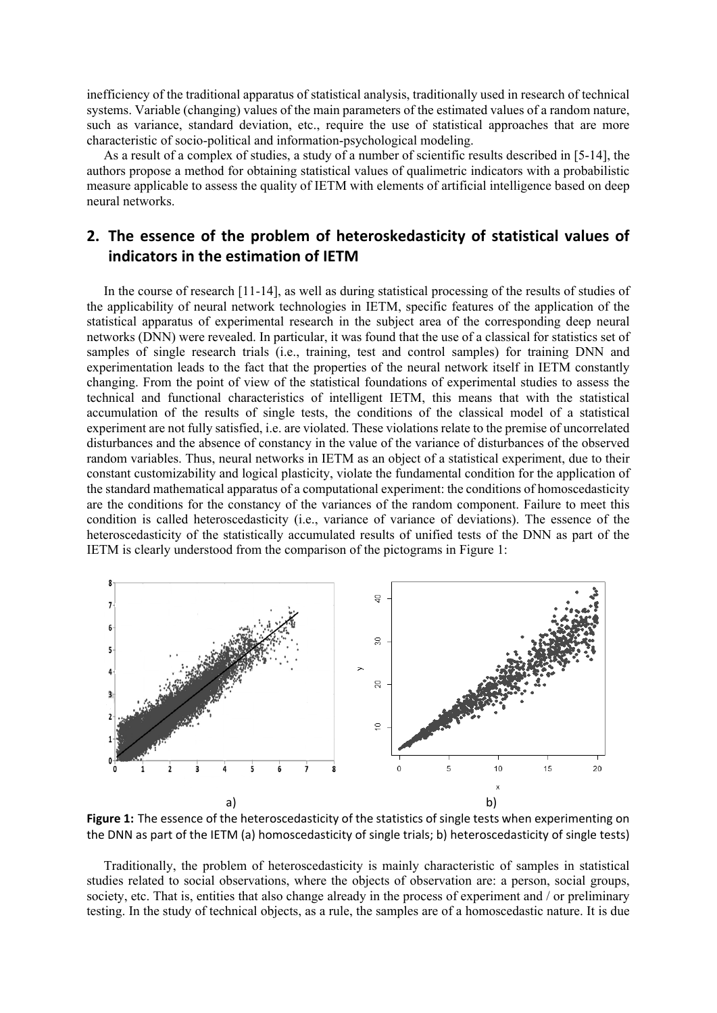inefficiency of the traditional apparatus of statistical analysis, traditionally used in research of technical systems. Variable (changing) values of the main parameters of the estimated values of a random nature, such as variance, standard deviation, etc., require the use of statistical approaches that are more characteristic of socio-political and information-psychological modeling.

As a result of a complex of studies, a study of a number of scientific results described in [5-14], the authors propose a method for obtaining statistical values of qualimetric indicators with a probabilistic measure applicable to assess the quality of IETM with elements of artificial intelligence based on deep neural networks.

# **2. The essence of the problem of heteroskedasticity of statistical values of indicators in the estimation of IETM**

In the course of research [11-14], as well as during statistical processing of the results of studies of the applicability of neural network technologies in IETM, specific features of the application of the statistical apparatus of experimental research in the subject area of the corresponding deep neural networks (DNN) were revealed. In particular, it was found that the use of a classical for statistics set of samples of single research trials (i.e., training, test and control samples) for training DNN and experimentation leads to the fact that the properties of the neural network itself in IETM constantly changing. From the point of view of the statistical foundations of experimental studies to assess the technical and functional characteristics of intelligent IETM, this means that with the statistical accumulation of the results of single tests, the conditions of the classical model of a statistical experiment are not fully satisfied, i.e. are violated. These violations relate to the premise of uncorrelated disturbances and the absence of constancy in the value of the variance of disturbances of the observed random variables. Thus, neural networks in IETM as an object of a statistical experiment, due to their constant customizability and logical plasticity, violate the fundamental condition for the application of the standard mathematical apparatus of a computational experiment: the conditions of homoscedasticity are the conditions for the constancy of the variances of the random component. Failure to meet this condition is called heteroscedasticity (i.e., variance of variance of deviations). The essence of the heteroscedasticity of the statistically accumulated results of unified tests of the DNN as part of the IETM is clearly understood from the comparison of the pictograms in Figure 1:



**Figure 1:** The essence of the heteroscedasticity of the statistics of single tests when experimenting on the DNN as part of the IETM (a) homoscedasticity of single trials; b) heteroscedasticity of single tests)

Traditionally, the problem of heteroscedasticity is mainly characteristic of samples in statistical studies related to social observations, where the objects of observation are: a person, social groups, society, etc. That is, entities that also change already in the process of experiment and / or preliminary testing. In the study of technical objects, as a rule, the samples are of a homoscedastic nature. It is due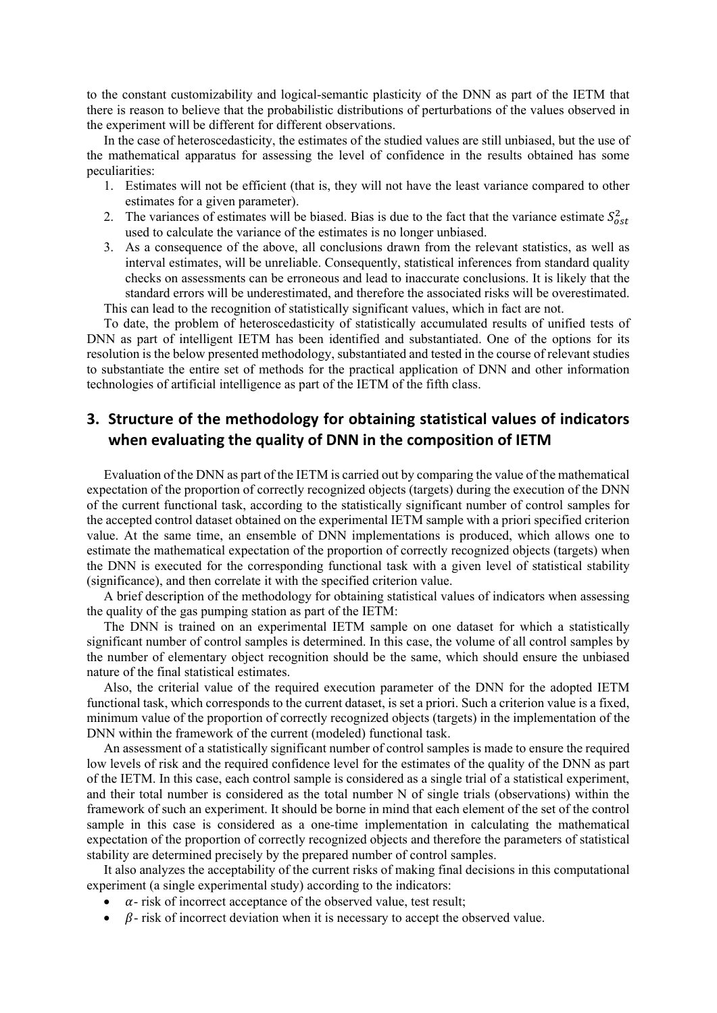to the constant customizability and logical-semantic plasticity of the DNN as part of the IETM that there is reason to believe that the probabilistic distributions of perturbations of the values observed in the experiment will be different for different observations.

In the case of heteroscedasticity, the estimates of the studied values are still unbiased, but the use of the mathematical apparatus for assessing the level of confidence in the results obtained has some peculiarities:

- 1. Estimates will not be efficient (that is, they will not have the least variance compared to other estimates for a given parameter).
- 2. The variances of estimates will be biased. Bias is due to the fact that the variance estimate  $S_{\text{ost}}^2$ used to calculate the variance of the estimates is no longer unbiased.
- 3. As a consequence of the above, all conclusions drawn from the relevant statistics, as well as interval estimates, will be unreliable. Consequently, statistical inferences from standard quality checks on assessments can be erroneous and lead to inaccurate conclusions. It is likely that the standard errors will be underestimated, and therefore the associated risks will be overestimated. This can lead to the recognition of statistically significant values, which in fact are not.

To date, the problem of heteroscedasticity of statistically accumulated results of unified tests of DNN as part of intelligent IETM has been identified and substantiated. One of the options for its resolution is the below presented methodology, substantiated and tested in the course of relevant studies to substantiate the entire set of methods for the practical application of DNN and other information technologies of artificial intelligence as part of the IETM of the fifth class.

# **3. Structure of the methodology for obtaining statistical values of indicators when evaluating the quality of DNN in the composition of IETM**

Evaluation of the DNN as part of the IETM is carried out by comparing the value of the mathematical expectation of the proportion of correctly recognized objects (targets) during the execution of the DNN of the current functional task, according to the statistically significant number of control samples for the accepted control dataset obtained on the experimental IETM sample with a priori specified criterion value. At the same time, an ensemble of DNN implementations is produced, which allows one to estimate the mathematical expectation of the proportion of correctly recognized objects (targets) when the DNN is executed for the corresponding functional task with a given level of statistical stability (significance), and then correlate it with the specified criterion value.

A brief description of the methodology for obtaining statistical values of indicators when assessing the quality of the gas pumping station as part of the IETM:

The DNN is trained on an experimental IETM sample on one dataset for which a statistically significant number of control samples is determined. In this case, the volume of all control samples by the number of elementary object recognition should be the same, which should ensure the unbiased nature of the final statistical estimates.

Also, the criterial value of the required execution parameter of the DNN for the adopted IETM functional task, which corresponds to the current dataset, is set a priori. Such a criterion value is a fixed, minimum value of the proportion of correctly recognized objects (targets) in the implementation of the DNN within the framework of the current (modeled) functional task.

An assessment of a statistically significant number of control samples is made to ensure the required low levels of risk and the required confidence level for the estimates of the quality of the DNN as part of the IETM. In this case, each control sample is considered as a single trial of a statistical experiment, and their total number is considered as the total number N of single trials (observations) within the framework of such an experiment. It should be borne in mind that each element of the set of the control sample in this case is considered as a one-time implementation in calculating the mathematical expectation of the proportion of correctly recognized objects and therefore the parameters of statistical stability are determined precisely by the prepared number of control samples.

It also analyzes the acceptability of the current risks of making final decisions in this computational experiment (a single experimental study) according to the indicators:

- $\alpha$  risk of incorrect acceptance of the observed value, test result;
- $\beta$  risk of incorrect deviation when it is necessary to accept the observed value.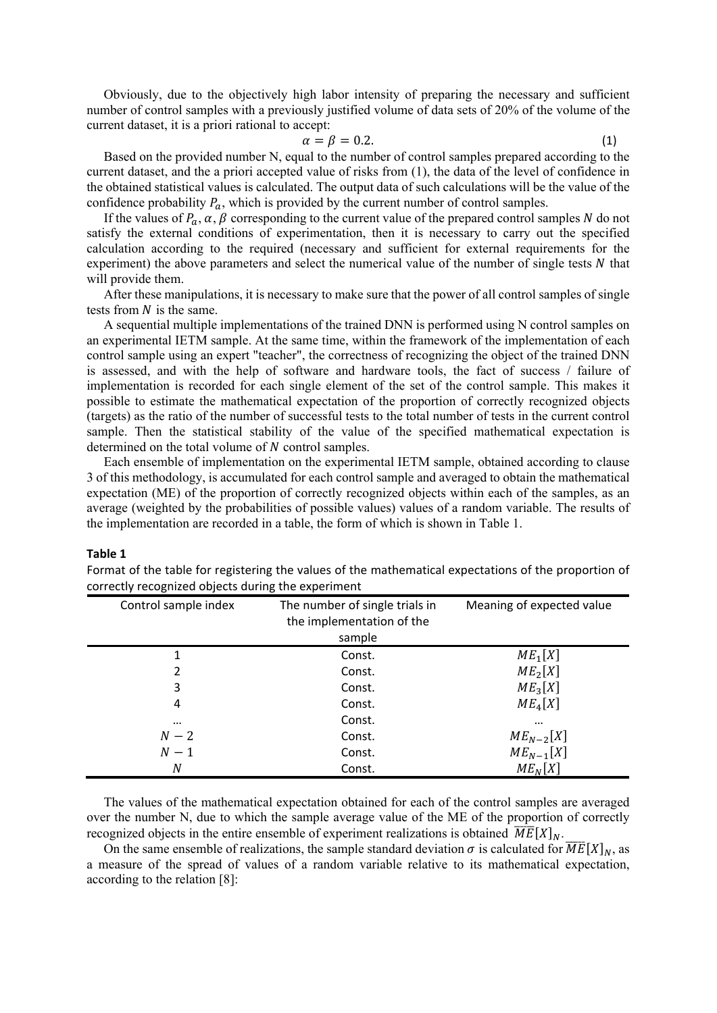Obviously, due to the objectively high labor intensity of preparing the necessary and sufficient number of control samples with a previously justified volume of data sets of 20% of the volume of the current dataset, it is a priori rational to accept:

$$
\alpha = \beta = 0.2. \tag{1}
$$

Based on the provided number N, equal to the number of control samples prepared according to the current dataset, and the a priori accepted value of risks from (1), the data of the level of confidence in the obtained statistical values is calculated. The output data of such calculations will be the value of the confidence probability  $P_a$ , which is provided by the current number of control samples.

If the values of  $P_a$ ,  $\alpha$ ,  $\beta$  corresponding to the current value of the prepared control samples N do not satisfy the external conditions of experimentation, then it is necessary to carry out the specified calculation according to the required (necessary and sufficient for external requirements for the experiment) the above parameters and select the numerical value of the number of single tests  $N$  that will provide them.

After these manipulations, it is necessary to make sure that the power of all control samples of single tests from  $N$  is the same.

A sequential multiple implementations of the trained DNN is performed using N control samples on an experimental IETM sample. At the same time, within the framework of the implementation of each control sample using an expert "teacher", the correctness of recognizing the object of the trained DNN is assessed, and with the help of software and hardware tools, the fact of success / failure of implementation is recorded for each single element of the set of the control sample. This makes it possible to estimate the mathematical expectation of the proportion of correctly recognized objects (targets) as the ratio of the number of successful tests to the total number of tests in the current control sample. Then the statistical stability of the value of the specified mathematical expectation is determined on the total volume of  $N$  control samples.

Each ensemble of implementation on the experimental IETM sample, obtained according to clause 3 of this methodology, is accumulated for each control sample and averaged to obtain the mathematical expectation (ME) of the proportion of correctly recognized objects within each of the samples, as an average (weighted by the probabilities of possible values) values of a random variable. The results of the implementation are recorded in a table, the form of which is shown in Table 1.

#### **Table 1**

| Control sample index | The number of single trials in<br>the implementation of the<br>sample | Meaning of expected value |
|----------------------|-----------------------------------------------------------------------|---------------------------|
| 1                    | Const.                                                                | $ME_1[X]$                 |
| 2                    | Const.                                                                | ME <sub>2</sub> [X]       |
| 3                    | Const.                                                                | ME <sub>3</sub> [X]       |
| 4                    | Const.                                                                | $ME_4[X]$                 |
| $\cdots$             | Const.                                                                | $\cdots$                  |
| $N-2$                | Const.                                                                | $ME_{N-2}[X]$             |
| $N-1$                | Const.                                                                | $ME_{N-1}[X]$             |
| Ν                    | Const.                                                                | $ME_N[X]$                 |

Format of the table for registering the values of the mathematical expectations of the proportion of correctly recognized objects during the experiment

The values of the mathematical expectation obtained for each of the control samples are averaged over the number N, due to which the sample average value of the ME of the proportion of correctly recognized objects in the entire ensemble of experiment realizations is obtained  $\overline{ME}[X]_N$ .

On the same ensemble of realizations, the sample standard deviation  $\sigma$  is calculated for  $\overline{ME}[X]_N$ , as a measure of the spread of values of a random variable relative to its mathematical expectation, according to the relation [8]: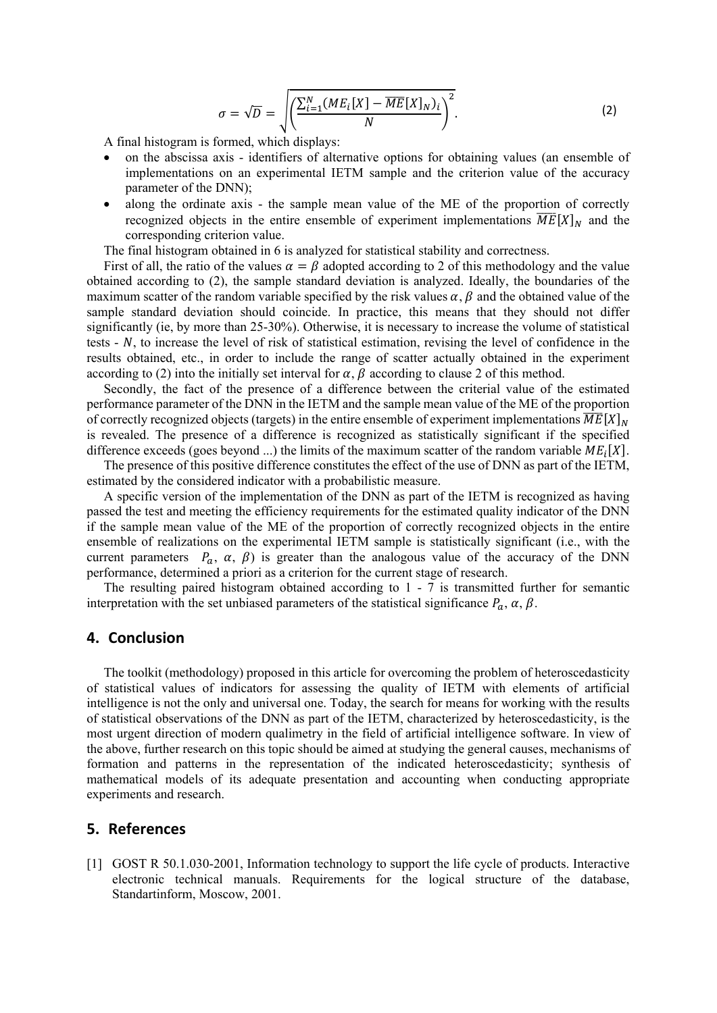$$
\sigma = \sqrt{D} = \sqrt{\left(\frac{\sum_{i=1}^{N} (ME_i[X] - \overline{ME}[X]_N)_i}{N}\right)^2}.
$$
 (2)

A final histogram is formed, which displays:

- on the abscissa axis identifiers of alternative options for obtaining values (an ensemble of implementations on an experimental IETM sample and the criterion value of the accuracy parameter of the DNN);
- along the ordinate axis the sample mean value of the ME of the proportion of correctly recognized objects in the entire ensemble of experiment implementations  $\overline{ME}[X]_N$  and the corresponding criterion value.

The final histogram obtained in 6 is analyzed for statistical stability and correctness.

First of all, the ratio of the values  $\alpha = \beta$  adopted according to 2 of this methodology and the value obtained according to (2), the sample standard deviation is analyzed. Ideally, the boundaries of the maximum scatter of the random variable specified by the risk values  $\alpha$ ,  $\beta$  and the obtained value of the sample standard deviation should coincide. In practice, this means that they should not differ significantly (ie, by more than 25-30%). Otherwise, it is necessary to increase the volume of statistical tests  $- N$ , to increase the level of risk of statistical estimation, revising the level of confidence in the results obtained, etc., in order to include the range of scatter actually obtained in the experiment according to (2) into the initially set interval for  $\alpha$ ,  $\beta$  according to clause 2 of this method.

Secondly, the fact of the presence of a difference between the criterial value of the estimated performance parameter of the DNN in the IETM and the sample mean value of the ME of the proportion of correctly recognized objects (targets) in the entire ensemble of experiment implementations  $\overline{ME}[X]_{N}$ is revealed. The presence of a difference is recognized as statistically significant if the specified difference exceeds (goes beyond ...) the limits of the maximum scatter of the random variable  $ME_i[X]$ .

The presence of this positive difference constitutes the effect of the use of DNN as part of the IETM, estimated by the considered indicator with a probabilistic measure.

A specific version of the implementation of the DNN as part of the IETM is recognized as having passed the test and meeting the efficiency requirements for the estimated quality indicator of the DNN if the sample mean value of the ME of the proportion of correctly recognized objects in the entire ensemble of realizations on the experimental IETM sample is statistically significant (i.e., with the current parameters  $P_a$ ,  $\alpha$ ,  $\beta$ ) is greater than the analogous value of the accuracy of the DNN performance, determined a priori as a criterion for the current stage of research.

The resulting paired histogram obtained according to  $1 - 7$  is transmitted further for semantic interpretation with the set unbiased parameters of the statistical significance  $P_a$ ,  $\alpha$ ,  $\beta$ .

### 4. Conclusion

The toolkit (methodology) proposed in this article for overcoming the problem of heteroscedasticity of statistical values of indicators for assessing the quality of IETM with elements of artificial intelligence is not the only and universal one. Today, the search for means for working with the results of statistical observations of the DNN as part of the IETM, characterized by heteroscedasticity, is the most urgent direction of modern qualimetry in the field of artificial intelligence software. In view of the above, further research on this topic should be aimed at studying the general causes, mechanisms of formation and patterns in the representation of the indicated heteroscedasticity; synthesis of mathematical models of its adequate presentation and accounting when conducting appropriate experiments and research.

## 5. References

[1] GOST R 50.1.030-2001, Information technology to support the life cycle of products. Interactive electronic technical manuals. Requirements for the logical structure of the database, Standartinform, Moscow, 2001.